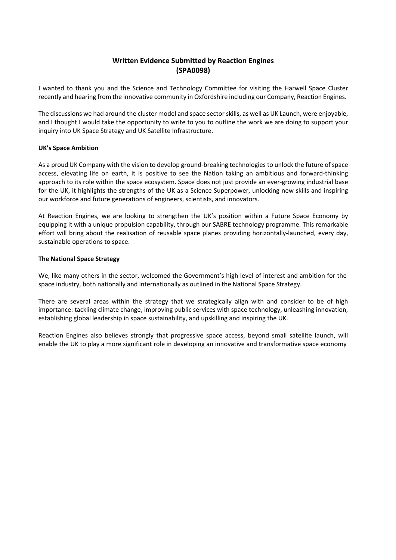## **Written Evidence Submitted by Reaction Engines (SPA0098)**

I wanted to thank you and the Science and Technology Committee for visiting the Harwell Space Cluster recently and hearing from the innovative community in Oxfordshire including our Company, Reaction Engines.

The discussions we had around the cluster model and space sector skills, as well as UK Launch, were enjoyable, and I thought I would take the opportunity to write to you to outline the work we are doing to support your inquiry into UK Space Strategy and UK Satellite Infrastructure.

## **UK's Space Ambition**

As a proud UK Company with the vision to develop ground-breaking technologies to unlock the future of space access, elevating life on earth, it is positive to see the Nation taking an ambitious and forward-thinking approach to its role within the space ecosystem. Space does not just provide an ever-growing industrial base for the UK, it highlights the strengths of the UK as a Science Superpower, unlocking new skills and inspiring our workforce and future generations of engineers, scientists, and innovators.

At Reaction Engines, we are looking to strengthen the UK's position within a Future Space Economy by equipping it with a unique propulsion capability, through our SABRE technology programme. This remarkable effort will bring about the realisation of reusable space planes providing horizontally-launched, every day, sustainable operations to space.

## **The National Space Strategy**

We, like many others in the sector, welcomed the Government's high level of interest and ambition for the space industry, both nationally and internationally as outlined in the National Space Strategy.

There are several areas within the strategy that we strategically align with and consider to be of high importance: tackling climate change, improving public services with space technology, unleashing innovation, establishing global leadership in space sustainability, and upskilling and inspiring the UK.

Reaction Engines also believes strongly that progressive space access, beyond small satellite launch, will enable the UK to play a more significant role in developing an innovative and transformative space economy